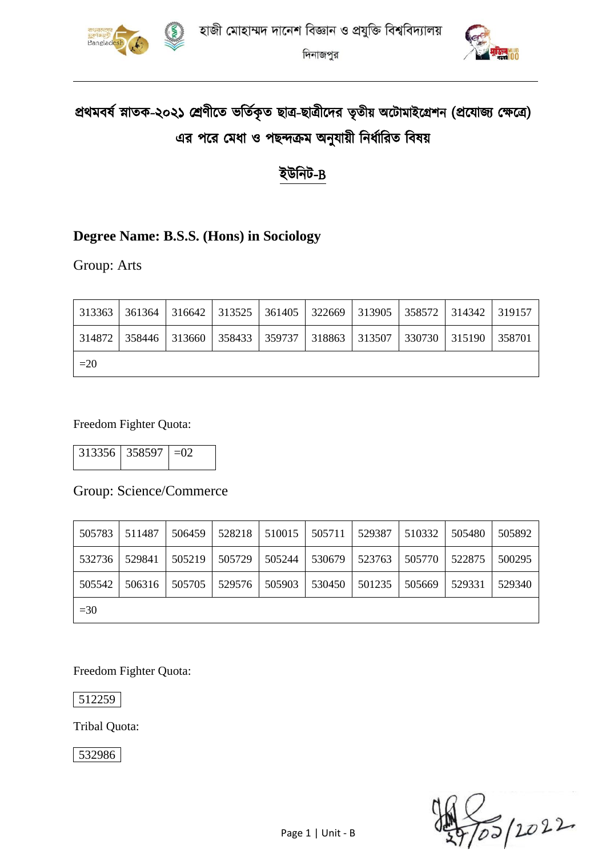



# প্রথমবর্ষ স্নাতক-২০২১ শ্রেণীতে ভর্তিকৃত ছাত্র-ছাত্রীদের তৃতীয় অটোমাইগ্রেশন (প্রযোজ্য ক্ষেত্রে) এর পরে মেধা ও পছন্দক্রম অনুযায়ী নির্ধারিত বিষয়

# ইউনিট-B

### **Degree Name: B.S.S. (Hons) in Sociology**

Group: Arts

|       |  |  |  | 313363   361364   316642   313525   361405   322669   313905   358572   314342   319157 |  |
|-------|--|--|--|-----------------------------------------------------------------------------------------|--|
|       |  |  |  | 314872   358446   313660   358433   359737   318863   313507   330730   315190   358701 |  |
| $=20$ |  |  |  |                                                                                         |  |

Freedom Fighter Quota:

 $313356$   $358597$  =02

#### Group: Science/Commerce

| 505783 | 511487 | 506459 | 528218 | 510015 | 505711 | 529387 | 510332 | 505480 | 505892 |
|--------|--------|--------|--------|--------|--------|--------|--------|--------|--------|
| 532736 | 529841 | 505219 | 505729 | 505244 | 530679 | 523763 | 505770 | 522875 | 500295 |
| 505542 | 506316 | 505705 | 529576 | 505903 | 530450 | 501235 | 505669 | 529331 | 529340 |
| $=30$  |        |        |        |        |        |        |        |        |        |

Freedom Fighter Quota:

512259

Tribal Quota:

532986

)<br>To5 | 2022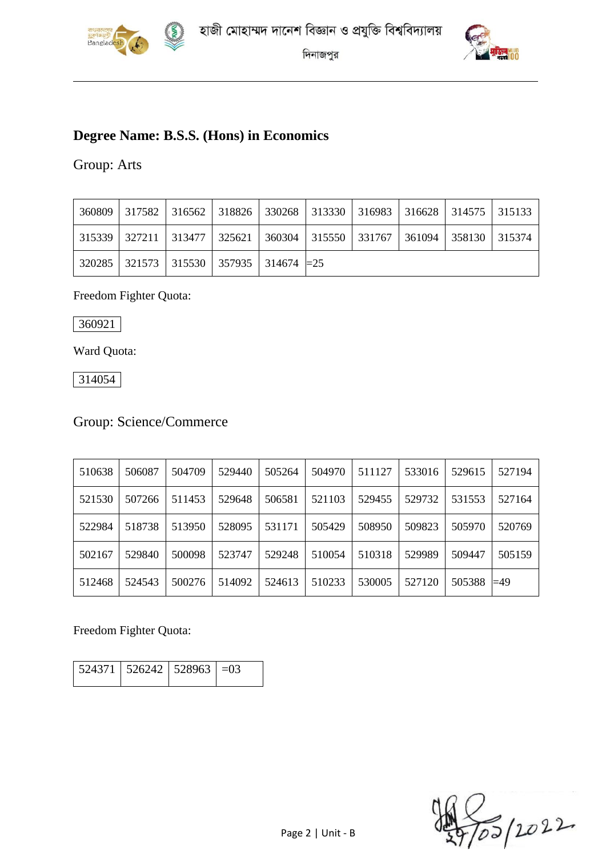



# **Degree Name: B.S.S. (Hons) in Economics**

#### Group: Arts

|  | 360809   317582   316562   318826   330268   313330   316983   316628   314575   315133 |  |  |  |  |
|--|-----------------------------------------------------------------------------------------|--|--|--|--|
|  | 315339   327211   313477   325621   360304   315550   331767   361094   358130   315374 |  |  |  |  |
|  | $320285$   321573   315530   357935   314674   $=$ 25                                   |  |  |  |  |

#### Freedom Fighter Quota:

360921

Ward Quota:

314054

# Group: Science/Commerce

| 510638 | 506087 | 504709 | 529440 | 505264 | 504970 | 511127 | 533016 | 529615 | 527194      |
|--------|--------|--------|--------|--------|--------|--------|--------|--------|-------------|
| 521530 | 507266 | 511453 | 529648 | 506581 | 521103 | 529455 | 529732 | 531553 | 527164      |
| 522984 | 518738 | 513950 | 528095 | 531171 | 505429 | 508950 | 509823 | 505970 | 520769      |
| 502167 | 529840 | 500098 | 523747 | 529248 | 510054 | 510318 | 529989 | 509447 | 505159      |
| 512468 | 524543 | 500276 | 514092 | 524613 | 510233 | 530005 | 527120 | 505388 | $\equiv$ 49 |

Freedom Fighter Quota:

|  | $524371$   $526242$   $528963$   $=03$ |  |  |
|--|----------------------------------------|--|--|
|--|----------------------------------------|--|--|

2022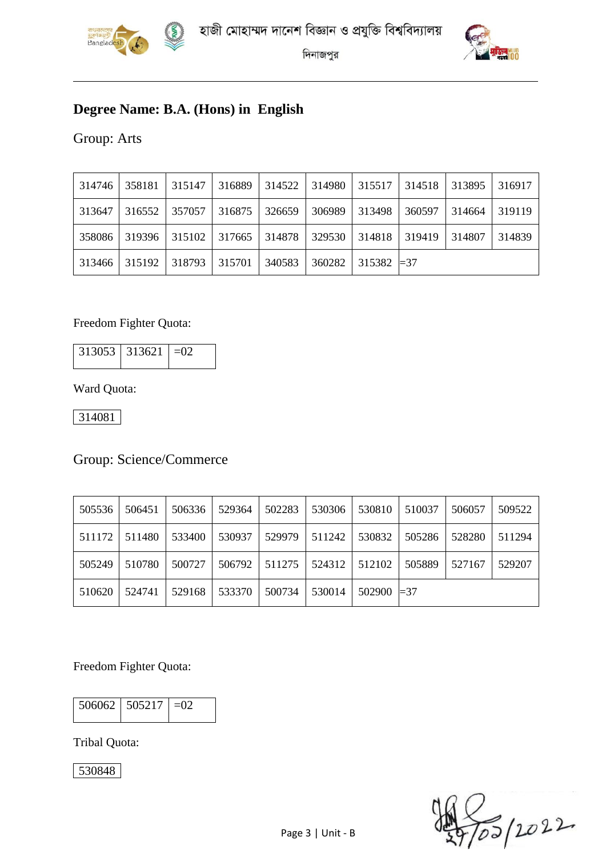



# **Degree Name: B.A. (Hons) in English**

Group: Arts

| 314746 | 358181 | 315147 | 316889 | 314522 | 314980 | 315517              | 314518 | 313895 | 316917 |
|--------|--------|--------|--------|--------|--------|---------------------|--------|--------|--------|
| 313647 | 316552 | 357057 | 316875 | 326659 | 306989 | 313498              | 360597 | 314664 | 319119 |
| 358086 | 319396 | 315102 | 317665 | 314878 | 329530 | 314818              | 319419 | 314807 | 314839 |
| 313466 | 315192 | 318793 | 315701 | 340583 | 360282 | $315382 \models 37$ |        |        |        |

#### Freedom Fighter Quota:

| $313053$ 313621 = 02 |  |
|----------------------|--|
|                      |  |

Ward Quota:

314081

#### Group: Science/Commerce

| 505536 | 506451 | 506336 | 529364 | 502283 | 530306 | 530810        | 510037 | 506057 | 509522 |
|--------|--------|--------|--------|--------|--------|---------------|--------|--------|--------|
| 511172 | 511480 | 533400 | 530937 | 529979 | 511242 | 530832        | 505286 | 528280 | 511294 |
| 505249 | 510780 | 500727 | 506792 | 511275 | 524312 | 512102        | 505889 | 527167 | 529207 |
| 510620 | 524741 | 529168 | 533370 | 500734 | 530014 | $502900 = 37$ |        |        |        |

Freedom Fighter Quota:

| 506062 505217 | $-0$ |
|---------------|------|
|               |      |

Tribal Quota:

530848

2022